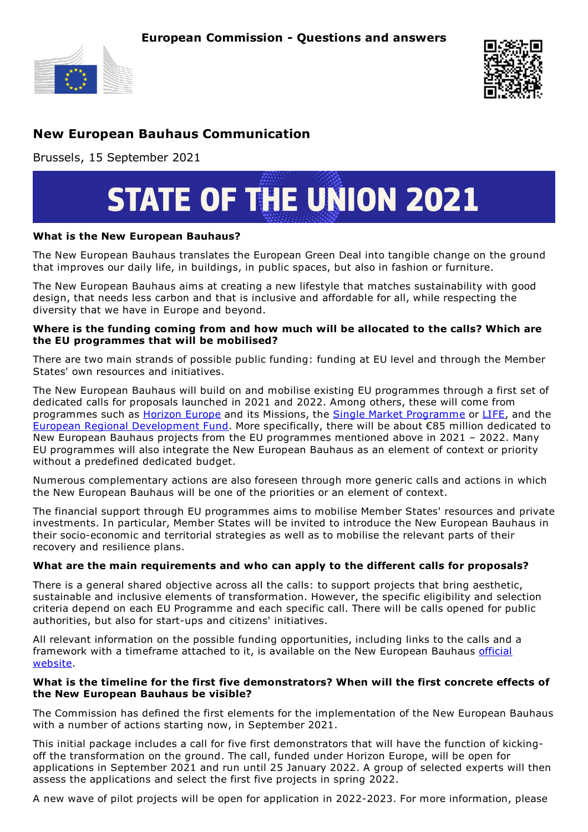



# **New European Bauhaus Communication**

Brussels, 15 September 2021



## **What is the New European Bauhaus?**

The New European Bauhaus translates the European Green Deal into tangible change on the ground that improves our daily life, in buildings, in public spaces, but also in fashion or furniture.

The New European Bauhaus aims at creating a new lifestyle that matches sustainability with good design, that needs less carbon and that is inclusive and affordable for all, while respecting the diversity that we have in Europe and beyond.

## **Where is the funding coming from and how much will be allocated to the calls? Which are the EU programmes that will be mobilised?**

There are two main strands of possible public funding: funding at EU level and through the Member States' own resources and initiatives.

The New European Bauhaus will build on and mobilise existing EU programmes through a first set of dedicated calls for proposals launched in 2021 and 2022. Among others, these will come from programmes such as **[Horizon](https://ec.europa.eu/info/research-and-innovation/funding/funding-opportunities/funding-programmes-and-open-calls/horizon-europe_en) Europe and its Missions, the Single Market [Programme](https://ec.europa.eu/growth/sectors/tourism/funding-guide/single-market-programme_en) or [LIFE](https://ec.europa.eu/growth/sectors/tourism/funding-guide/life-programme_en)**, and the European Regional [Development](https://ec.europa.eu/regional_policy/en/funding/erdf/) Fund. More specifically, there will be about €85 million dedicated to New European Bauhaus projects from the EU programmes mentioned above in 2021 – 2022. Many EU programmes will also integrate the New European Bauhaus as an element of context or priority without a predefined dedicated budget.

Numerous complementary actions are also foreseen through more generic calls and actions in which the New European Bauhaus will be one of the priorities or an element of context.

The financial support through EU programmes aims to mobilise Member States' resources and private investments. In particular, Member States will be invited to introduce the New European Bauhaus in their socio-economic and territorial strategies as well as to mobilise the relevant parts of their recovery and resilience plans.

### **What are the main requirements and who can apply to the different calls for proposals?**

There is a general shared objective across all the calls: to support projects that bring aesthetic, sustainable and inclusive elements of transformation. However, the specific eligibility and selection criteria depend on each EU Programme and each specific call. There will be calls opened for public authorities, but also for start-ups and citizens' initiatives.

All relevant information on the possible funding opportunities, including links to the calls and a [framework](https://europa.eu/new-european-bauhaus/index_en) with a timeframe attached to it, is available on the New European Bauhaus official website.

### **What is the timeline for the first five demonstrators? When will the first concrete effects of the New European Bauhaus be visible?**

The Commission has defined the first elements for the implementation of the New European Bauhaus with a number of actions starting now, in September 2021.

This initial package includes a call for five first demonstrators that will have the function of kickingoff the transformation on the ground. The call, funded under Horizon Europe, will be open for applications in September 2021 and run until 25 January 2022. A group of selected experts will then assess the applications and select the first five projects in spring 2022.

A new wave of pilot projects will be open for application in 2022-2023. For more information, please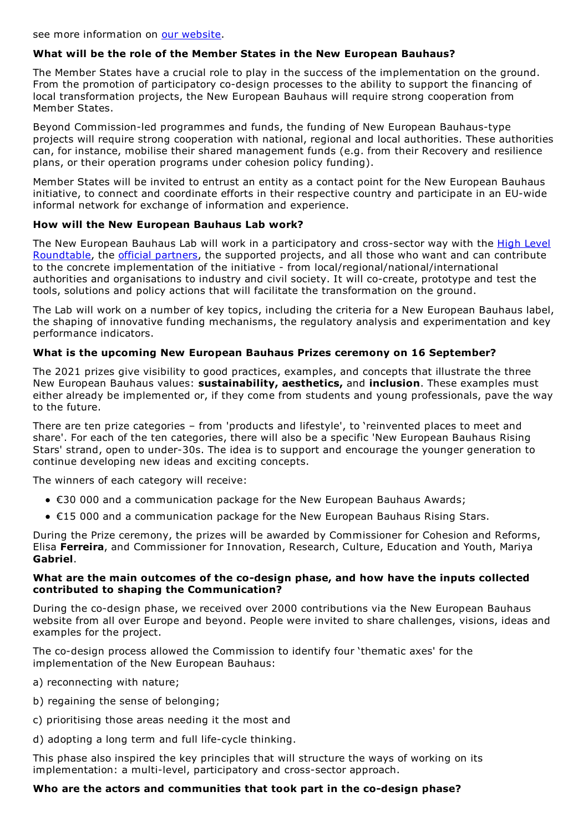## **What will be the role of the Member States in the New European Bauhaus?**

The Member States have a crucial role to play in the success of the implementation on the ground. From the promotion of participatory co-design processes to the ability to support the financing of local transformation projects, the New European Bauhaus will require strong cooperation from Member States.

Beyond Commission-led programmes and funds, the funding of New European Bauhaus-type projects will require strong cooperation with national, regional and local authorities. These authorities can, for instance, mobilise their shared management funds (e.g. from their Recovery and resilience plans, or their operation programs under cohesion policy funding).

Member States will be invited to entrust an entity as a contact point for the New European Bauhaus initiative, to connect and coordinate efforts in their respective country and participate in an EU-wide informal network for exchange of information and experience.

### **How will the New European Bauhaus Lab work?**

The New European Bauhaus Lab will work in a [participatory](https://europa.eu/new-european-bauhaus/about/high-level-roundtable_en) and cross-sector way with the **High Level** Roundtable, the official [partners](https://europa.eu/new-european-bauhaus/partners-0/partners_en), the supported projects, and all those who want and can contribute to the concrete implementation of the initiative - from local/regional/national/international authorities and organisations to industry and civil society. It will co-create, prototype and test the tools, solutions and policy actions that will facilitate the transformation on the ground.

The Lab will work on a number of key topics, including the criteria for a New European Bauhaus label, the shaping of innovative funding mechanisms, the regulatory analysis and experimentation and key performance indicators.

## **What is the upcoming New European Bauhaus Prizes ceremony on 16 September?**

The 2021 prizes give visibility to good practices, examples, and concepts that illustrate the three New European Bauhaus values: **sustainability, aesthetics,** and **inclusion**. These examples must either already be implemented or, if they come from students and young professionals, pave the way to the future.

There are ten prize categories – from 'products and lifestyle', to 'reinvented places to meet and share'. For each of the ten categories, there will also be a specific 'New European Bauhaus Rising Stars' strand, open to under-30s. The idea is to support and encourage the younger generation to continue developing new ideas and exciting concepts.

The winners of each category will receive:

- €30 000 and a communication package for the New European Bauhaus Awards;
- €15 000 and a communication package for the New European Bauhaus Rising Stars.

During the Prize ceremony, the prizes will be awarded by Commissioner for Cohesion and Reforms, Elisa **Ferreira**, and Commissioner for Innovation, Research, Culture, Education and Youth, Mariya **Gabriel**.

### **What are the main outcomes of the co-design phase, and how have the inputs collected contributed to shaping the Communication?**

During the co-design phase, we received over 2000 contributions via the New European Bauhaus website from all over Europe and beyond. People were invited to share challenges, visions, ideas and examples for the project.

The co-design process allowed the Commission to identify four 'thematic axes' for the implementation of the New European Bauhaus:

- a) reconnecting with nature;
- b) regaining the sense of belonging;
- c) prioritising those areas needing it the most and
- d) adopting a long term and full life-cycle thinking.

This phase also inspired the key principles that will structure the ways of working on its implementation: a multi-level, participatory and cross-sector approach.

### **Who are the actors and communities that took part in the co-design phase?**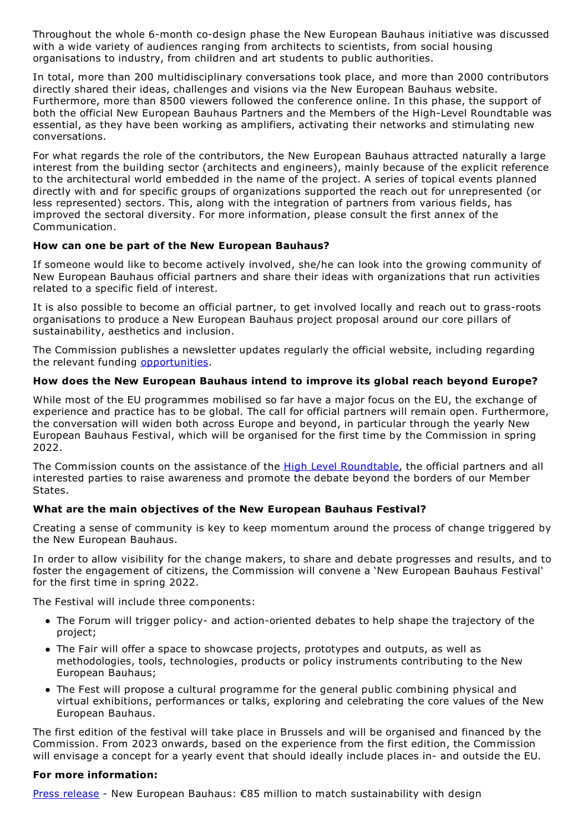Throughout the whole 6-month co-design phase the New European Bauhaus initiative was discussed with a wide variety of audiences ranging from architects to scientists, from social housing organisations to industry, from children and art students to public authorities.

In total, more than 200 multidisciplinary conversations took place, and more than 2000 contributors directly shared their ideas, challenges and visions via the New European Bauhaus website. Furthermore, more than 8500 viewers followed the conference online. In this phase, the support of both the official New European Bauhaus Partners and the Members of the High-Level Roundtable was essential, as they have been working as amplifiers, activating their networks and stimulating new conversations.

For what regards the role of the contributors, the New European Bauhaus attracted naturally a large interest from the building sector (architects and engineers), mainly because of the explicit reference to the architectural world embedded in the name of the project. A series of topical events planned directly with and for specific groups of organizations supported the reach out for unrepresented (or less represented) sectors. This, along with the integration of partners from various fields, has improved the sectoral diversity. For more information, please consult the first annex of the Communication.

## **How can one be part of the New European Bauhaus?**

If someone would like to become actively involved, she/he can look into the growing community of New European Bauhaus official partners and share their ideas with organizations that run activities related to a specific field of interest.

It is also possible to become an official partner, to get involved locally and reach out to grass-roots organisations to produce a New European Bauhaus project proposal around our core pillars of sustainability, aesthetics and inclusion.

The Commission publishes a newsletter updates regularly the official website, including regarding the relevant funding [opportunities.](https://europa.eu/new-european-bauhaus/delivery_en)

# **How does the New European Bauhaus intend to improve its global reach beyond Europe?**

While most of the EU programmes mobilised so far have a major focus on the EU, the exchange of experience and practice has to be global. The call for official partners will remain open. Furthermore, the conversation will widen both across Europe and beyond, in particular through the yearly New European Bauhaus Festival, which will be organised for the first time by the Commission in spring 2022.

The Commission counts on the assistance of the High Level [Roundtable](https://europa.eu/new-european-bauhaus/about/high-level-roundtable_en), the official partners and all interested parties to raise awareness and promote the debate beyond the borders of our Member States.

# **What are the main objectives of the New European Bauhaus Festival?**

Creating a sense of community is key to keep momentum around the process of change triggered by the New European Bauhaus.

In order to allow visibility for the change makers, to share and debate progresses and results, and to foster the engagement of citizens, the Commission will convene a 'New European Bauhaus Festival' for the first time in spring 2022.

The Festival will include three components:

- The Forum will trigger policy- and action-oriented debates to help shape the trajectory of the project;
- The Fair will offer a space to showcase projects, prototypes and outputs, as well as methodologies, tools, technologies, products or policy instruments contributing to the New European Bauhaus;
- The Fest will propose a cultural programme for the general public combining physical and virtual exhibitions, performances or talks, exploring and celebrating the core values of the New European Bauhaus.

The first edition of the festival will take place in Brussels and will be organised and financed by the Commission. From 2023 onwards, based on the experience from the first edition, the Commission will envisage a concept for a yearly event that should ideally include places in- and outside the EU.

### **For more information:**

Press [release](https://ec.europa.eu/commission/presscorner/detail/en/ip_21_4626) - New European Bauhaus: €85 million to match sustainability with design